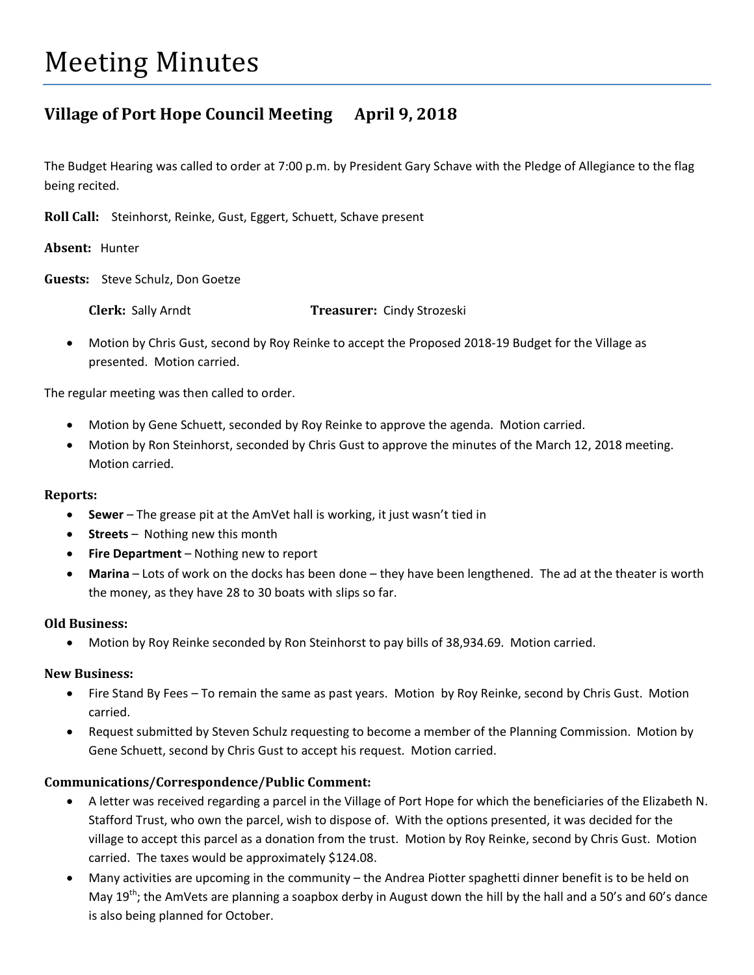# Meeting Minutes

# **Village of Port Hope Council Meeting April 9, 2018**

The Budget Hearing was called to order at 7:00 p.m. by President Gary Schave with the Pledge of Allegiance to the flag being recited.

**Roll Call:** Steinhorst, Reinke, Gust, Eggert, Schuett, Schave present

**Absent:** Hunter

**Guests:** Steve Schulz, Don Goetze

**Clerk:** Sally Arndt **Treasurer:** Cindy Strozeski

• Motion by Chris Gust, second by Roy Reinke to accept the Proposed 2018-19 Budget for the Village as presented. Motion carried.

The regular meeting was then called to order.

- Motion by Gene Schuett, seconded by Roy Reinke to approve the agenda. Motion carried.
- Motion by Ron Steinhorst, seconded by Chris Gust to approve the minutes of the March 12, 2018 meeting. Motion carried.

#### **Reports:**

- **Sewer** The grease pit at the AmVet hall is working, it just wasn't tied in
- **Streets** Nothing new this month
- **Fire Department**  Nothing new to report
- **Marina** Lots of work on the docks has been done they have been lengthened. The ad at the theater is worth the money, as they have 28 to 30 boats with slips so far.

#### **Old Business:**

• Motion by Roy Reinke seconded by Ron Steinhorst to pay bills of 38,934.69. Motion carried.

#### **New Business:**

- Fire Stand By Fees To remain the same as past years. Motion by Roy Reinke, second by Chris Gust. Motion carried.
- Request submitted by Steven Schulz requesting to become a member of the Planning Commission. Motion by Gene Schuett, second by Chris Gust to accept his request. Motion carried.

#### **Communications/Correspondence/Public Comment:**

- A letter was received regarding a parcel in the Village of Port Hope for which the beneficiaries of the Elizabeth N. Stafford Trust, who own the parcel, wish to dispose of. With the options presented, it was decided for the village to accept this parcel as a donation from the trust. Motion by Roy Reinke, second by Chris Gust. Motion carried. The taxes would be approximately \$124.08.
- Many activities are upcoming in the community the Andrea Piotter spaghetti dinner benefit is to be held on May  $19<sup>th</sup>$ ; the AmVets are planning a soapbox derby in August down the hill by the hall and a 50's and 60's dance is also being planned for October.